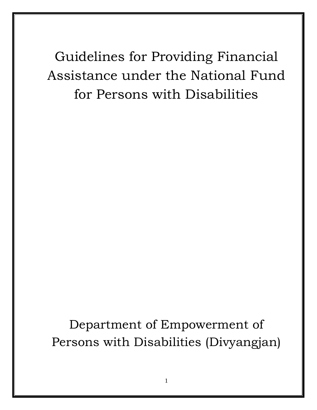Guidelines for Providing Financial Assistance under the National Fund for Persons with Disabilities

Department of Empowerment of Persons with Disabilities (Divyangjan)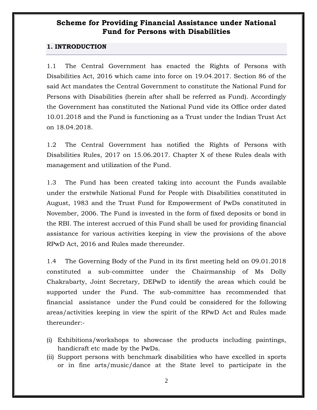### **Scheme for Providing Financial Assistance under National Fund for Persons with Disabilities**

#### **1. INTRODUCTION**

1.1 The Central Government has enacted the Rights of Persons with Disabilities Act, 2016 which came into force on 19.04.2017. Section 86 of the said Act mandates the Central Government to constitute the National Fund for Persons with Disabilities (herein after shall be referred as Fund). Accordingly the Government has constituted the National Fund vide its Office order dated 10.01.2018 and the Fund is functioning as a Trust under the Indian Trust Act on 18.04.2018.

1.2 The Central Government has notified the Rights of Persons with Disabilities Rules, 2017 on 15.06.2017. Chapter X of these Rules deals with management and utilization of the Fund.

1.3 The Fund has been created taking into account the Funds available under the erstwhile National Fund for People with Disabilities constituted in August, 1983 and the Trust Fund for Empowerment of PwDs constituted in November, 2006. The Fund is invested in the form of fixed deposits or bond in the RBI. The interest accrued of this Fund shall be used for providing financial assistance for various activities keeping in view the provisions of the above RPwD Act, 2016 and Rules made thereunder.

1.4 The Governing Body of the Fund in its first meeting held on 09.01.2018 constituted a sub-committee under the Chairmanship of Ms Dolly Chakrabarty, Joint Secretary, DEPwD to identify the areas which could be supported under the Fund. The sub-committee has recommended that financial assistance under the Fund could be considered for the following areas/activities keeping in view the spirit of the RPwD Act and Rules made thereunder:-

- (i) Exhibitions/workshops to showcase the products including paintings, handicraft etc made by the PwDs.
- (ii) Support persons with benchmark disabilities who have excelled in sports or in fine arts/music/dance at the State level to participate in the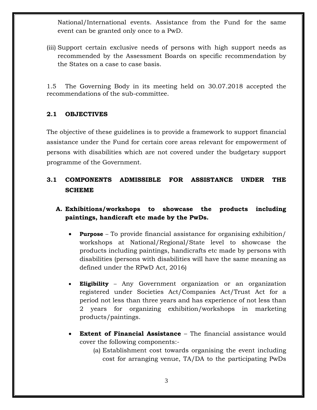National/International events. Assistance from the Fund for the same event can be granted only once to a PwD.

(iii) Support certain exclusive needs of persons with high support needs as recommended by the Assessment Boards on specific recommendation by the States on a case to case basis.

1.5 The Governing Body in its meeting held on 30.07.2018 accepted the recommendations of the sub-committee.

### **2.1 OBJECTIVES**

The objective of these guidelines is to provide a framework to support financial assistance under the Fund for certain core areas relevant for empowerment of persons with disabilities which are not covered under the budgetary support programme of the Government.

# **3.1 COMPONENTS ADMISSIBLE FOR ASSISTANCE UNDER THE SCHEME**

## **A. Exhibitions/workshops to showcase the products including paintings, handicraft etc made by the PwDs.**

- **Purpose** To provide financial assistance for organising exhibition/ workshops at National/Regional/State level to showcase the products including paintings, handicrafts etc made by persons with disabilities (persons with disabilities will have the same meaning as defined under the RPwD Act, 2016)
- **Eligibility** Any Government organization or an organization registered under Societies Act/Companies Act/Trust Act for a period not less than three years and has experience of not less than 2 years for organizing exhibition/workshops in marketing products/paintings.
- **Extent of Financial Assistance** The financial assistance would cover the following components:-
	- (a) Establishment cost towards organising the event including cost for arranging venue, TA/DA to the participating PwDs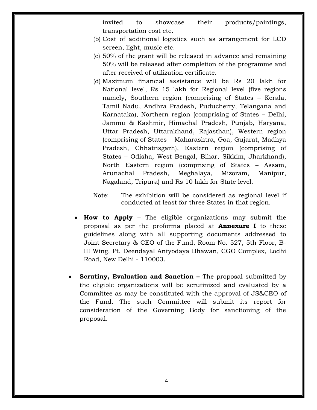invited to showcase their products/paintings, transportation cost etc.

- (b) Cost of additional logistics such as arrangement for LCD screen, light, music etc.
- (c) 50% of the grant will be released in advance and remaining 50% will be released after completion of the programme and after received of utilization certificate.
- (d) Maximum financial assistance will be Rs 20 lakh for National level, Rs 15 lakh for Regional level (five regions namely, Southern region (comprising of States – Kerala, Tamil Nadu, Andhra Pradesh, Puducherry, Telangana and Karnataka), Northern region (comprising of States – Delhi, Jammu & Kashmir, Himachal Pradesh, Punjab, Haryana, Uttar Pradesh, Uttarakhand, Rajasthan), Western region (comprising of States – Maharashtra, Goa, Gujarat, Madhya Pradesh, Chhattisgarh), Eastern region (comprising of States – Odisha, West Bengal, Bihar, Sikkim, Jharkhand), North Eastern region (comprising of States – Assam, Arunachal Pradesh, Meghalaya, Mizoram, Manipur, Nagaland, Tripura) and Rs 10 lakh for State level.
- Note: The exhibition will be considered as regional level if conducted at least for three States in that region.
- **How to Apply** The eligible organizations may submit the proposal as per the proforma placed at **Annexure I** to these guidelines along with all supporting documents addressed to Joint Secretary & CEO of the Fund, Room No. 527, 5th Floor, B-III Wing, Pt. Deendayal Antyodaya Bhawan, CGO Complex, Lodhi Road, New Delhi - 110003.
- **Scrutiny, Evaluation and Sanction –** The proposal submitted by the eligible organizations will be scrutinized and evaluated by a Committee as may be constituted with the approval of JS&CEO of the Fund. The such Committee will submit its report for consideration of the Governing Body for sanctioning of the proposal.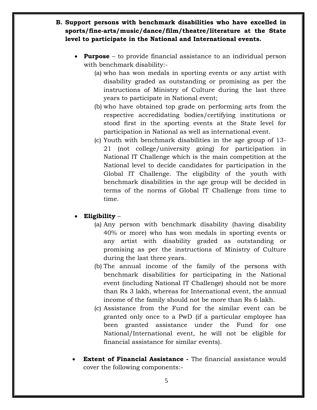- **B. Support persons with benchmark disabilities who have excelled in sports/fine-arts/music/dance/film/theatre/literature at the State level to participate in the National and International events.** 
	- **Purpose** to provide financial assistance to an individual person with benchmark disability:-
		- (a) who has won medals in sporting events or any artist with disability graded as outstanding or promising as per the instructions of Ministry of Culture during the last three years to participate in National event;
		- (b) who have obtained top grade on performing arts from the respective accredidating bodies/certifying institutions or stood first in the sporting events at the State level for participation in National as well as international event.
		- (c) Youth with benchmark disabilities in the age group of 13- 21 (not college/university going) for participation in National IT Challenge which is the main competition at the National level to decide candidates for participation in the Global IT Challenge. The eligibility of the youth with benchmark disabilities in the age group will be decided in terms of the norms of Global IT Challenge from time to time.
	- **Eligibility**
		- (a) Any person with benchmark disability (having disability 40% or more) who has won medals in sporting events or any artist with disability graded as outstanding or promising as per the instructions of Ministry of Culture during the last three years.
		- (b) The annual income of the family of the persons with benchmark disabilities for participating in the National event (including National IT Challenge) should not be more than Rs 3 lakh, whereas for International event, the annual income of the family should not be more than Rs 6 lakh.
		- (c) Assistance from the Fund for the similar event can be granted only once to a PwD (if a particular employee has been granted assistance under the Fund for one National/International event, he will not be eligible for financial assistance for similar events).
	- **Extent of Financial Assistance -** The financial assistance would cover the following components:-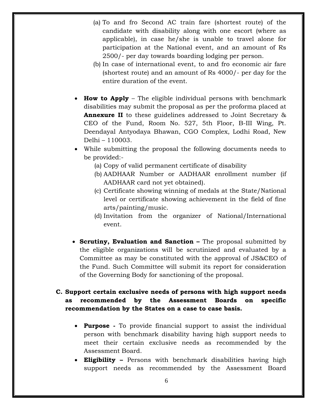- (a) To and fro Second AC train fare (shortest route) of the candidate with disability along with one escort (where as applicable), in case he/she is unable to travel alone for participation at the National event, and an amount of Rs 2500/- per day towards boarding lodging per person.
- (b) In case of international event, to and fro economic air fare (shortest route) and an amount of Rs 4000/- per day for the entire duration of the event.
- **How to Apply** The eligible individual persons with benchmark disabilities may submit the proposal as per the proforma placed at **Annexure II** to these guidelines addressed to Joint Secretary & CEO of the Fund, Room No. 527, 5th Floor, B-III Wing, Pt. Deendayal Antyodaya Bhawan, CGO Complex, Lodhi Road, New Delhi – 110003.
- While submitting the proposal the following documents needs to be provided:-
	- (a) Copy of valid permanent certificate of disability
	- (b) AADHAAR Number or AADHAAR enrollment number (if AADHAAR card not yet obtained).
	- (c) Certificate showing winning of medals at the State/National level or certificate showing achievement in the field of fine arts/painting/music.
	- (d) Invitation from the organizer of National/International event.
- **Scrutiny, Evaluation and Sanction –** The proposal submitted by the eligible organizations will be scrutinized and evaluated by a Committee as may be constituted with the approval of JS&CEO of the Fund. Such Committee will submit its report for consideration of the Governing Body for sanctioning of the proposal.

## **C. Support certain exclusive needs of persons with high support needs as recommended by the Assessment Boards on specific recommendation by the States on a case to case basis.**

- **Purpose -** To provide financial support to assist the individual person with benchmark disability having high support needs to meet their certain exclusive needs as recommended by the Assessment Board.
- **Eligibility –** Persons with benchmark disabilities having high support needs as recommended by the Assessment Board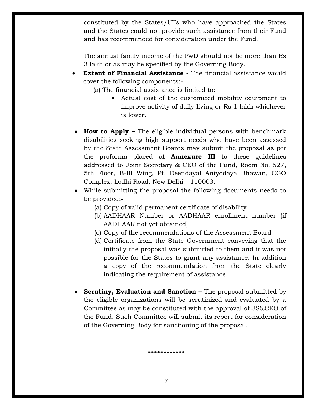constituted by the States/UTs who have approached the States and the States could not provide such assistance from their Fund and has recommended for consideration under the Fund.

The annual family income of the PwD should not be more than Rs 3 lakh or as may be specified by the Governing Body.

- **Extent of Financial Assistance -** The financial assistance would cover the following components:-
	- (a) The financial assistance is limited to:
		- Actual cost of the customized mobility equipment to improve activity of daily living or Rs 1 lakh whichever is lower.
- **How to Apply –** The eligible individual persons with benchmark disabilities seeking high support needs who have been assessed by the State Assessment Boards may submit the proposal as per the proforma placed at **Annexure III** to these guidelines addressed to Joint Secretary & CEO of the Fund, Room No. 527, 5th Floor, B-III Wing, Pt. Deendayal Antyodaya Bhawan, CGO Complex, Lodhi Road, New Delhi – 110003.
- While submitting the proposal the following documents needs to be provided:-
	- (a) Copy of valid permanent certificate of disability
	- (b) AADHAAR Number or AADHAAR enrollment number (if AADHAAR not yet obtained).
	- (c) Copy of the recommendations of the Assessment Board
	- (d) Certificate from the State Government conveying that the initially the proposal was submitted to them and it was not possible for the States to grant any assistance. In addition a copy of the recommendation from the State clearly indicating the requirement of assistance.
- **Scrutiny, Evaluation and Sanction –** The proposal submitted by the eligible organizations will be scrutinized and evaluated by a Committee as may be constituted with the approval of JS&CEO of the Fund. Such Committee will submit its report for consideration of the Governing Body for sanctioning of the proposal.

**\*\*\*\*\*\*\*\*\*\*\*\***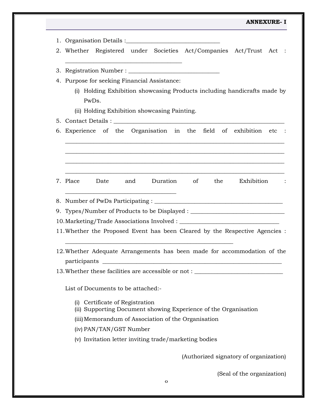### **ANNEXURE- I**

| 2. Whether Registered under Societies Act/Companies Act/Trust Act :                                                                                                                                                                  |
|--------------------------------------------------------------------------------------------------------------------------------------------------------------------------------------------------------------------------------------|
|                                                                                                                                                                                                                                      |
| 4. Purpose for seeking Financial Assistance:                                                                                                                                                                                         |
| (i) Holding Exhibition showcasing Products including handicrafts made by                                                                                                                                                             |
| PwDs.                                                                                                                                                                                                                                |
| (ii) Holding Exhibition showcasing Painting.                                                                                                                                                                                         |
|                                                                                                                                                                                                                                      |
| 6. Experience of the Organisation in the field of exhibition etc :                                                                                                                                                                   |
|                                                                                                                                                                                                                                      |
|                                                                                                                                                                                                                                      |
|                                                                                                                                                                                                                                      |
| <u> 1980 - Johann John Stone, mars and de final programment and design and design and design and design and design and design and design and design and design and design and design and design and design and design and design</u> |
| 7. Place Date<br>Duration of the Exhibition :<br>and                                                                                                                                                                                 |
|                                                                                                                                                                                                                                      |
|                                                                                                                                                                                                                                      |
| 9. Types/Number of Products to be Displayed : __________________________________                                                                                                                                                     |
|                                                                                                                                                                                                                                      |
| 11. Whether the Proposed Event has been Cleared by the Respective Agencies :                                                                                                                                                         |
|                                                                                                                                                                                                                                      |
| 12. Whether Adequate Arrangements has been made for accommodation of the                                                                                                                                                             |
| participants                                                                                                                                                                                                                         |
| 13. Whether these facilities are accessible or not: ____________________________                                                                                                                                                     |
|                                                                                                                                                                                                                                      |
| List of Documents to be attached:-                                                                                                                                                                                                   |
| (i) Certificate of Registration                                                                                                                                                                                                      |
| (ii) Supporting Document showing Experience of the Organisation                                                                                                                                                                      |
| (iii) Memorandum of Association of the Organisation                                                                                                                                                                                  |
| (iv) PAN/TAN/GST Number                                                                                                                                                                                                              |
| (v) Invitation letter inviting trade/marketing bodies                                                                                                                                                                                |
|                                                                                                                                                                                                                                      |
| (Authorized signatory of organization)                                                                                                                                                                                               |
|                                                                                                                                                                                                                                      |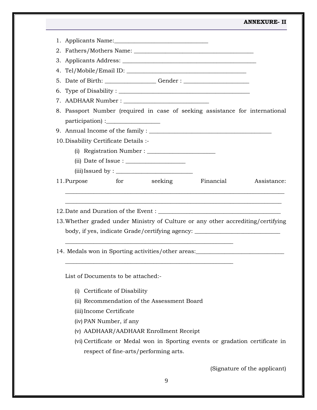|             |                                       |                                                                                           |                                                                                                                                                                      | <b>ANNEXURE-II</b>           |
|-------------|---------------------------------------|-------------------------------------------------------------------------------------------|----------------------------------------------------------------------------------------------------------------------------------------------------------------------|------------------------------|
|             |                                       |                                                                                           |                                                                                                                                                                      |                              |
|             |                                       |                                                                                           |                                                                                                                                                                      |                              |
|             |                                       |                                                                                           |                                                                                                                                                                      |                              |
|             |                                       |                                                                                           |                                                                                                                                                                      |                              |
|             |                                       |                                                                                           | 5. Date of Birth: _______________________Gender : ______________________________                                                                                     |                              |
|             |                                       |                                                                                           |                                                                                                                                                                      |                              |
|             |                                       |                                                                                           |                                                                                                                                                                      |                              |
|             | participation):                       |                                                                                           | 8. Passport Number (required in case of seeking assistance for international                                                                                         |                              |
|             |                                       |                                                                                           |                                                                                                                                                                      |                              |
|             | 10. Disability Certificate Details :- |                                                                                           |                                                                                                                                                                      |                              |
|             |                                       |                                                                                           |                                                                                                                                                                      |                              |
|             |                                       | $(ii)$ Date of Issue : $\_\_\_\_\_\_\_\_\_\_\_\_\_\_\_\_\_\_\_\_\_\_\_\_\_\_\_\_\_\_\_\_$ |                                                                                                                                                                      |                              |
|             |                                       | $(iii)$ Issued by : $\_\_\_\_\_\_\_\_\_\_\_\_\_\_\_\_\_\_\_\_\_\_\_\_\_\_\_\_\_\_\_\_$    |                                                                                                                                                                      |                              |
| 11. Purpose |                                       | for seeking                                                                               | Financial                                                                                                                                                            | Assistance:                  |
|             |                                       |                                                                                           | 13. Whether graded under Ministry of Culture or any other accrediting/certifying<br>body, if yes, indicate Grade/certifying agency: ________________________________ |                              |
|             |                                       |                                                                                           |                                                                                                                                                                      |                              |
|             |                                       | 14. Medals won in Sporting activities/other areas:                                        |                                                                                                                                                                      |                              |
|             | List of Documents to be attached:-    |                                                                                           |                                                                                                                                                                      |                              |
|             | (i) Certificate of Disability         |                                                                                           |                                                                                                                                                                      |                              |
|             |                                       | (ii) Recommendation of the Assessment Board                                               |                                                                                                                                                                      |                              |
|             | (iii) Income Certificate              |                                                                                           |                                                                                                                                                                      |                              |
|             | (iv) PAN Number, if any               |                                                                                           |                                                                                                                                                                      |                              |
|             |                                       | (v) AADHAAR/AADHAAR Enrollment Receipt                                                    |                                                                                                                                                                      |                              |
|             |                                       |                                                                                           | (vi) Certificate or Medal won in Sporting events or gradation certificate in                                                                                         |                              |
|             |                                       | respect of fine-arts/performing arts.                                                     |                                                                                                                                                                      |                              |
|             |                                       |                                                                                           |                                                                                                                                                                      | (Signature of the applicant) |
|             |                                       |                                                                                           |                                                                                                                                                                      |                              |